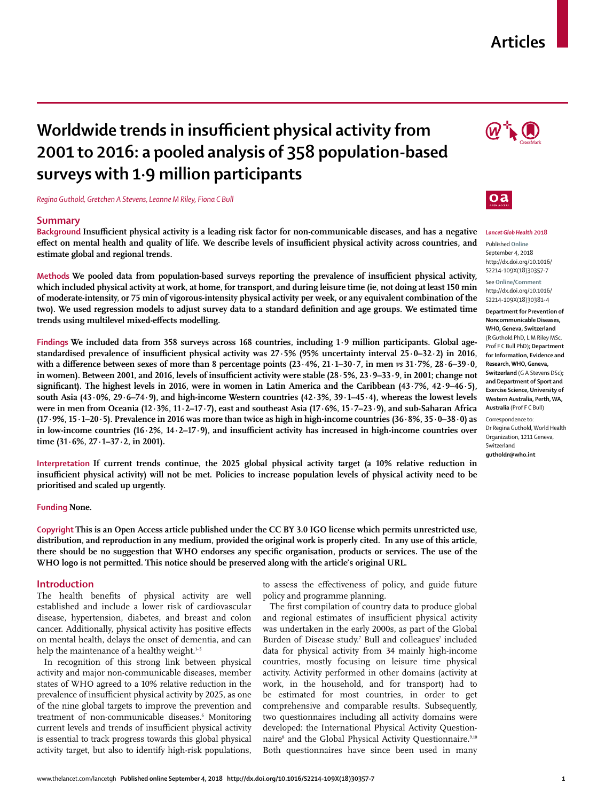# **Articles**

# **Worldwide trends in insufficient physical activity from 2001 to 2016: a pooled analysis of 358 population-based surveys with 1·9 million participants**

*Regina Guthold, Gretchen A Stevens, Leanne M Riley, Fiona C Bull*

## **Summary**

**Background Insufficient physical activity is a leading risk factor for non-communicable diseases, and has a negative effect on mental health and quality of life. We describe levels of insufficient physical activity across countries, and estimate global and regional trends.**

**Methods We pooled data from population-based surveys reporting the prevalence of insufficient physical activity, which included physical activity at work, at home, for transport, and during leisure time (ie, not doing at least 150 min of moderate-intensity, or 75 min of vigorous-intensity physical activity per week, or any equivalent combination of the two). We used regression models to adjust survey data to a standard definition and age groups. We estimated time trends using multilevel mixed-effects modelling.**

**Findings We included data from 358 surveys across 168 countries, including 1·9 million participants. Global agestandardised prevalence of insufficient physical activity was 27·5% (95% uncertainty interval 25·0–32·2) in 2016, with a difference between sexes of more than 8 percentage points (23·4%, 21·1–30·7, in men** *vs* **31·7%, 28·6–39·0, in women). Between 2001, and 2016, levels of insufficient activity were stable (28·5%, 23·9–33·9, in 2001; change not significant). The highest levels in 2016, were in women in Latin America and the Caribbean (43·7%, 42·9–46·5), south Asia (43·0%, 29·6–74·9), and high-income Western countries (42·3%, 39·1–45·4), whereas the lowest levels were in men from Oceania (12·3%, 11·2–17·7), east and southeast Asia (17·6%, 15·7–23·9), and sub-Saharan Africa (17·9%, 15·1–20·5). Prevalence in 2016 was more than twice as high in high-income countries (36·8%, 35·0–38·0) as in low-income countries (16·2%, 14·2–17·9), and insufficient activity has increased in high-income countries over time (31·6%, 27·1–37·2, in 2001).**

**Interpretation If current trends continue, the 2025 global physical activity target (a 10% relative reduction in insufficient physical activity) will not be met. Policies to increase population levels of physical activity need to be prioritised and scaled up urgently.**

# **Funding None.**

**Copyright This is an Open Access article published under the CC BY 3.0 IGO license which permits unrestricted use, distribution, and reproduction in any medium, provided the original work is properly cited. In any use of this article, there should be no suggestion that WHO endorses any specific organisation, products or services. The use of the WHO logo is not permitted. This notice should be preserved along with the article's original URL.** 

## **Introduction**

The health benefits of physical activity are well established and include a lower risk of cardiovascular disease, hypertension, diabetes, and breast and colon cancer. Additionally, physical activity has positive effects on mental health, delays the onset of dementia, and can help the maintenance of a healthy weight.<sup>1-5</sup>

In recognition of this strong link between physical activity and major non-communicable diseases, member states of WHO agreed to a 10% relative reduction in the prevalence of insufficient physical activity by 2025, as one of the nine global targets to improve the prevention and treatment of non-communicable diseases.<sup>6</sup> Monitoring current levels and trends of insufficient physical activity is essential to track progress towards this global physical activity target, but also to identify high-risk populations,

to assess the effectiveness of policy, and guide future policy and programme planning.

The first compilation of country data to produce global and regional estimates of insufficient physical activity was undertaken in the early 2000s, as part of the Global Burden of Disease study.<sup>7</sup> Bull and colleagues<sup>7</sup> included data for physical activity from 34 mainly high-income countries, mostly focusing on leisure time physical activity. Activity performed in other domains (activity at work, in the household, and for transport) had to be estimated for most countries, in order to get comprehensive and comparable results. Subsequently, two questionnaires including all activity domains were developed: the International Physical Activity Questionnaire<sup>8</sup> and the Global Physical Activity Questionnaire.<sup>9,10</sup> Both questionnaires have since been used in many





# *Lancet Glob Health* **2018**

Published **Online** September 4, 2018 http://dx.doi.org/10.1016/ S2214-109X(18)30357-7

See **Online/Comment** http://dx.doi.org/10.1016/ S2214-109X(18)30381-4

**Department for Prevention of Noncommunicable Diseases, WHO, Geneva, Switzerland**  (R Guthold PhD, L M Riley MSc, Prof F C Bull PhD)**; Department for Information, Evidence and Research, WHO, Geneva, Switzerland** (G A Stevens DSc)**; and Department of Sport and Exercise Science, University of Western Australia, Perth, WA, Australia** (Prof F C Bull)

Correspondence to: Dr Regina Guthold, World Health Organization, 1211 Geneva, Switzerland **gutholdr@who.int**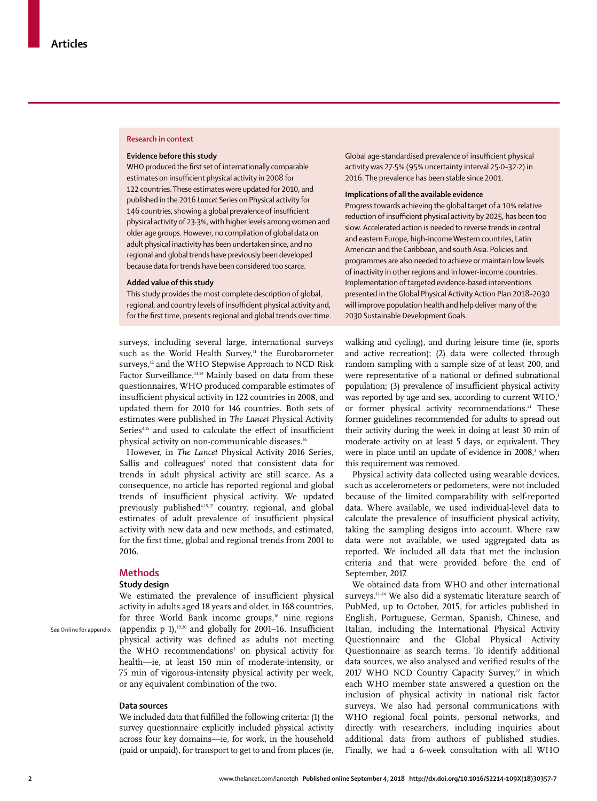#### **Research in context**

#### **Evidence before this study**

WHO produced the first set of internationally comparable estimates on insufficient physical activity in 2008 for 122 countries. These estimates were updated for 2010, and published in the 2016 *Lancet* Series on Physical activity for 146 countries, showing a global prevalence of insufficient physical activity of 23·3%, with higher levels among women and older age groups. However, no compilation of global data on adult physical inactivity has been undertaken since, and no regional and global trends have previously been developed because data for trends have been considered too scarce.

#### **Added value of this study**

This study provides the most complete description of global, regional, and country levels of insufficient physical activity and, for the first time, presents regional and global trends over time.

surveys, including several large, international surveys such as the World Health Survey,<sup>11</sup> the Eurobarometer surveys,<sup>12</sup> and the WHO Stepwise Approach to NCD Risk Factor Surveillance.<sup>13,14</sup> Mainly based on data from these questionnaires, WHO produced comparable estimates of insufficient physical activity in 122 countries in 2008, and updated them for 2010 for 146 countries. Both sets of estimates were published in *The Lancet* Physical Activity Series<sup>4,15</sup> and used to calculate the effect of insufficient physical activity on non-communicable diseases.<sup>16</sup>

However, in *The Lancet* Physical Activity 2016 Series, Sallis and colleagues<sup>4</sup> noted that consistent data for trends in adult physical activity are still scarce. As a consequence, no article has reported regional and global trends of insufficient physical activity. We updated previously published<sup>4,15,17</sup> country, regional, and global estimates of adult prevalence of insufficient physical activity with new data and new methods, and estimated, for the first time, global and regional trends from 2001 to 2016.

## **Methods**

See **Online** for appendix

## **Study design**

We estimated the prevalence of insufficient physical activity in adults aged 18 years and older, in 168 countries, for three World Bank income groups, $18$  nine regions (appendix p 1),<sup>19,20</sup> and globally for 2001–16. Insufficient physical activity was defined as adults not meeting the WHO recommendations<sup>3</sup> on physical activity for health—ie, at least 150 min of moderate-intensity, or 75 min of vigorous-intensity physical activity per week, or any equivalent combination of the two.

# **Data sources**

We included data that fulfilled the following criteria: (1) the survey questionnaire explicitly included physical activity across four key domains—ie, for work, in the household (paid or unpaid), for transport to get to and from places (ie, Global age-standardised prevalence of insufficient physical activity was 27·5% (95% uncertainty interval 25·0–32·2) in 2016. The prevalence has been stable since 2001.

#### **Implications of all the available evidence**

Progress towards achieving the global target of a 10% relative reduction of insufficient physical activity by 2025, has been too slow. Accelerated action is needed to reverse trends in central and eastern Europe, high-income Western countries, Latin American and the Caribbean, and south Asia. Policies and programmes are also needed to achieve or maintain low levels of inactivity in other regions and in lower-income countries. Implementation of targeted evidence-based interventions presented in the Global Physical Activity Action Plan 2018–2030 will improve population health and help deliver many of the 2030 Sustainable Development Goals.

walking and cycling), and during leisure time (ie, sports and active recreation); (2) data were collected through random sampling with a sample size of at least 200, and were representative of a national or defined subnational population; (3) prevalence of insufficient physical activity was reported by age and sex, according to current WHO,<sup>3</sup> or former physical activity recommendations.<sup>21</sup> These former guidelines recommended for adults to spread out their activity during the week in doing at least 30 min of moderate activity on at least 5 days, or equivalent. They were in place until an update of evidence in 2008,<sup>1</sup> when this requirement was removed.

Physical activity data collected using wearable devices, such as accelerometers or pedometers, were not included because of the limited comparability with self-reported data. Where available, we used individual-level data to calculate the prevalence of insufficient physical activity, taking the sampling designs into account. Where raw data were not available, we used aggregated data as reported. We included all data that met the inclusion criteria and that were provided before the end of September, 2017.

We obtained data from WHO and other international surveys.11–14 We also did a systematic literature search of PubMed, up to October, 2015, for articles published in English, Portuguese, German, Spanish, Chinese, and Italian, including the International Physical Activity Questionnaire and the Global Physical Activity Questionnaire as search terms. To identify additional data sources, we also analysed and verified results of the 2017 WHO NCD Country Capacity Survey,<sup>22</sup> in which each WHO member state answered a question on the inclusion of physical activity in national risk factor surveys. We also had personal communications with WHO regional focal points, personal networks, and directly with researchers, including inquiries about additional data from authors of published studies. Finally, we had a 6-week consultation with all WHO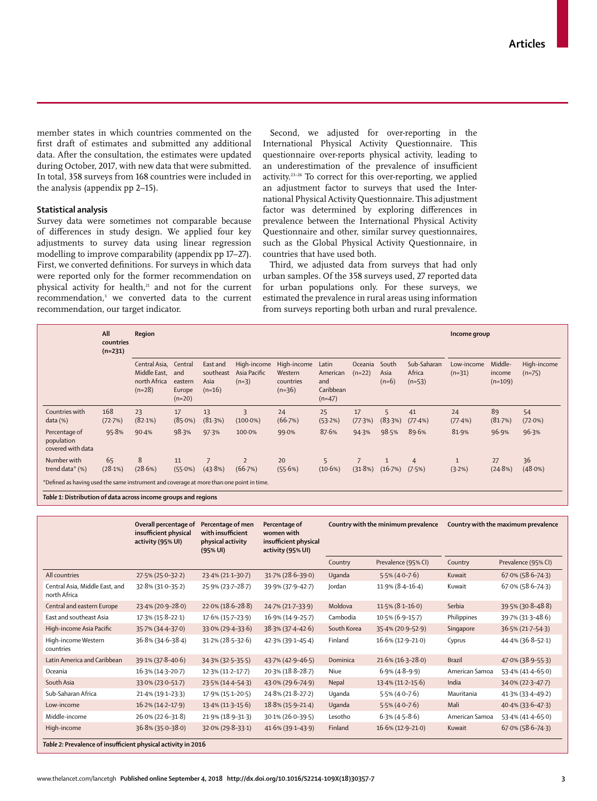member states in which countries commented on the first draft of estimates and submitted any additional data. After the consultation, the estimates were updated during October, 2017, with new data that were submitted. In total, 358 surveys from 168 countries were included in the analysis (appendix pp 2–15).

# **Statistical analysis**

Survey data were sometimes not comparable because of differences in study design. We applied four key adjustments to survey data using linear regression modelling to improve comparability (appendix pp 17–27). First, we converted definitions. For surveys in which data were reported only for the former recommendation on physical activity for health,<sup>21</sup> and not for the current recommendation,3 we converted data to the current recommendation, our target indicator.

Second, we adjusted for over-reporting in the International Physical Activity Questionnaire. This questionnaire over-reports physical activity, leading to an underestimation of the prevalence of insufficient activity.23–26 To correct for this over-reporting, we applied an adjustment factor to surveys that used the International Physical Activity Questionnaire. This adjustment factor was determined by exploring differences in prevalence between the International Physical Activity Questionnaire and other, similar survey questionnaires, such as the Global Physical Activity Questionnaire, in countries that have used both.

Third, we adjusted data from surveys that had only urban samples. Of the 358 surveys used, 27 reported data for urban populations only. For these surveys, we estimated the prevalence in rural areas using information from surveys reporting both urban and rural prevalence.

|                                                                                          | All<br>countries<br>$(n=231)$ | Region                                                    |                                                 |                                           |                                        |                                                 |                                                   |                     |                          |                                   | Income group           |                                |                         |
|------------------------------------------------------------------------------------------|-------------------------------|-----------------------------------------------------------|-------------------------------------------------|-------------------------------------------|----------------------------------------|-------------------------------------------------|---------------------------------------------------|---------------------|--------------------------|-----------------------------------|------------------------|--------------------------------|-------------------------|
|                                                                                          |                               | Central Asia,<br>Middle East,<br>north Africa<br>$(n=28)$ | Central<br>and<br>eastern<br>Europe<br>$(n=20)$ | East and<br>southeast<br>Asia<br>$(n=16)$ | High-income<br>Asia Pacific<br>$(n=3)$ | High-income<br>Western<br>countries<br>$(n=36)$ | Latin<br>American<br>and<br>Caribbean<br>$(n=47)$ | Oceania<br>$(n=22)$ | South<br>Asia<br>$(n=6)$ | Sub-Saharan<br>Africa<br>$(n=53)$ | Low-income<br>$(n=31)$ | Middle-<br>income<br>$(n=109)$ | High-income<br>$(n=75)$ |
| Countries with<br>data (%)                                                               | 168<br>(72.7%)                | 23<br>(82.1%)                                             | 17<br>$(85.0\%)$                                | 13<br>(81.3%)                             | $\overline{\mathbf{3}}$<br>$(100.0\%)$ | 24<br>(66.7%)                                   | 25<br>(53.2%)                                     | 17<br>(77.3%)       | 5<br>(83.3%)             | 41<br>$(77.4\%)$                  | 24<br>$(77.4\%)$       | 89<br>(81.7%)                  | 54<br>$(72.0\%)$        |
| Percentage of<br>population<br>covered with data                                         | 95.8%                         | 90.4%                                                     | 98.3%                                           | 97.3%                                     | 100.0%                                 | 99.0%                                           | 87.6%                                             | 94.3%               | 98.5%                    | 89.6%                             | 81.9%                  | 96.9%                          | 96.3%                   |
| Number with<br>trend data* (%)                                                           | 65<br>(28.1%)                 | 8<br>(28.6%)                                              | 11<br>$(55.0\%)$                                | 7<br>(43.8%)                              | $\overline{2}$<br>(66.7%)              | 20<br>(55.6%)                                   | 5<br>$(10.6\%)$                                   | (31.8%)             | $\mathbf{1}$<br>(16.7%)  | $\overline{4}$<br>(7.5%)          | (3.2%)                 | 27<br>(24.8%)                  | 36<br>$(48.0\%)$        |
| *Defined as having used the same instrument and coverage at more than one point in time. |                               |                                                           |                                                 |                                           |                                        |                                                 |                                                   |                     |                          |                                   |                        |                                |                         |

*Table 1:* **Distribution of data across income groups and regions**

|                                                               | Overall percentage of<br>insufficient physical<br>activity (95% UI) | Percentage of men<br>with insufficient<br>physical activity<br>$(95%$ UI) | Percentage of<br>women with<br>insufficient physical<br>activity (95% UI) |             | Country with the minimum prevalence | Country with the maximum prevalence |                      |  |  |  |  |
|---------------------------------------------------------------|---------------------------------------------------------------------|---------------------------------------------------------------------------|---------------------------------------------------------------------------|-------------|-------------------------------------|-------------------------------------|----------------------|--|--|--|--|
|                                                               |                                                                     |                                                                           |                                                                           | Country     | Prevalence (95% CI)                 | Country                             | Prevalence (95% CI)  |  |  |  |  |
| All countries                                                 | 27.5% (25.0-32.2)                                                   | 23.4% (21.1-30.7)                                                         | 31.7% (28.6-39.0)                                                         | Uganda      | $5.5\%$ (4.0-7.6)                   | Kuwait                              | $67.0\%$ (58.6-74.3) |  |  |  |  |
| Central Asia, Middle East, and<br>north Africa                | 32.8% (31.0-35.2)                                                   | 25.9% (23.7-28.7)                                                         | 39.9% (37.9-42.7)                                                         | Jordan      | $11.9\%$ (8.4-16.4)                 | Kuwait                              | 67.0% (58.6-74.3)    |  |  |  |  |
| Central and eastern Europe                                    | 23.4% (20.9-28.0)                                                   | $22.0\%$ (18.6-28.8)                                                      | 24.7% (21.7-33.9)                                                         | Moldova     | $11.5\% (8.1 - 16.0)$               | Serbia                              | 39.5% (30.8-48.8)    |  |  |  |  |
| East and southeast Asia                                       | 17.3% (15.8-22.1)                                                   | 17.6% (15.7-23.9)                                                         | 16.9% (14.9-25.7)                                                         | Cambodia    | $10.5\%$ (6.9-15.7)                 | Philippines                         | 39.7% (31.3-48.6)    |  |  |  |  |
| High-income Asia Pacific                                      | 35.7% (34.4-37.0)                                                   | 33.0% (29.4-33.6)                                                         | $38.3\%$ (37 $\cdot$ 4-42 $\cdot$ 6)                                      | South Korea | 35.4% (20.9-52.9)                   | Singapore                           | 36.5% (21.7-54.3)    |  |  |  |  |
| High-income Western<br>countries                              | 36.8% (34.6-38.4)                                                   | $31.2\%$ (28.5-32.6)                                                      | 42.3% (39.1-45.4)                                                         | Finland     | $16.6\% (12.9 - 21.0)$              | Cyprus                              | 44.4% (36.8-52.1)    |  |  |  |  |
| Latin America and Caribbean                                   | 39.1% (37.8-40.6)                                                   | 34.3% (32.5-35.5)                                                         | 43.7% (42.9-46.5)                                                         | Dominica    | $21.6\% (16.3 - 28.0)$              | <b>Brazil</b>                       | 47.0% (38.9-55.3)    |  |  |  |  |
| Oceania                                                       | $16.3\%$ (14.3-20.7)                                                | $12.3\%$ (11.2-17.7)                                                      | 20.3% (18.8-28.7)                                                         | Nive        | $6.9\%$ (4.8-9.9)                   | American Samoa                      | 53.4% (41.4-65.0)    |  |  |  |  |
| South Asia                                                    | 33.0% (23.0-51.7)                                                   | 23.5% (14.4-54.3)                                                         | 43.0% (29.6-74.9)                                                         | Nepal       | $13.4\%$ (11.2-15.6)                | India                               | $34.0\%$ (22.3-47.7) |  |  |  |  |
| Sub-Saharan Africa                                            | 21.4% (19.1-23.3)                                                   | 17.9% (15.1-20.5)                                                         | 24.8% (21.8-27.2)                                                         | Uganda      | $5.5\%$ (4.0-7.6)                   | Mauritania                          | 41.3% (33.4-49.2)    |  |  |  |  |
| Low-income                                                    | 16.2% (14.2-17.9)                                                   | $13.4\% (11.3 - 15.6)$                                                    | $18.8\%$ (15.9-21.4)                                                      | Uganda      | $5.5\%$ (4.0-7.6)                   | Mali                                | 40.4% (33.6-47.3)    |  |  |  |  |
| Middle-income                                                 | $26.0\% (22.6 - 31.8)$                                              | 21.9% (18.9-31.3)                                                         | 30.1% (26.0-39.5)                                                         | Lesotho     | $6.3\%$ (4.5-8.6)                   | American Samoa                      | 53.4% (41.4-65.0)    |  |  |  |  |
| High-income                                                   | $36.8\%$ (35.0-38.0)                                                | 32.0% (29.8-33.1)                                                         | $41.6\%$ (39.1-43.9)                                                      | Finland     | $16.6\% (12.9 - 21.0)$              | Kuwait                              | $67.0\%$ (58.6-74.3) |  |  |  |  |
| Table 2: Prevalence of insufficient physical activity in 2016 |                                                                     |                                                                           |                                                                           |             |                                     |                                     |                      |  |  |  |  |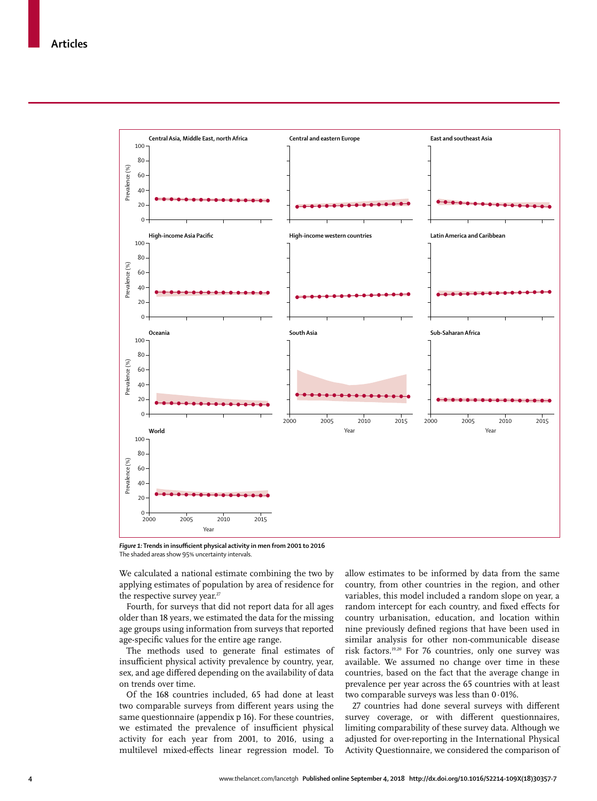

*Figure 1:* **Trends in insufficient physical activity in men from 2001 to 2016** The shaded areas show 95% uncertainty intervals.

We calculated a national estimate combining the two by applying estimates of population by area of residence for the respective survey year. $27$ 

Fourth, for surveys that did not report data for all ages older than 18 years, we estimated the data for the missing age groups using information from surveys that reported age-specific values for the entire age range.

The methods used to generate final estimates of insufficient physical activity prevalence by country, year, sex, and age differed depending on the availability of data on trends over time.

Of the 168 countries included, 65 had done at least two comparable surveys from different years using the same questionnaire (appendix p 16). For these countries, we estimated the prevalence of insufficient physical activity for each year from 2001, to 2016, using a multilevel mixed-effects linear regression model. To allow estimates to be informed by data from the same country, from other countries in the region, and other variables, this model included a random slope on year, a random intercept for each country, and fixed effects for country urbanisation, education, and location within nine previously defined regions that have been used in similar analysis for other non-communicable disease risk factors.19,20 For 76 countries, only one survey was available. We assumed no change over time in these countries, based on the fact that the average change in prevalence per year across the 65 countries with at least two comparable surveys was less than 0·01%.

27 countries had done several surveys with different survey coverage, or with different questionnaires, limiting comparability of these survey data. Although we adjusted for over-reporting in the International Physical Activity Questionnaire, we considered the comparison of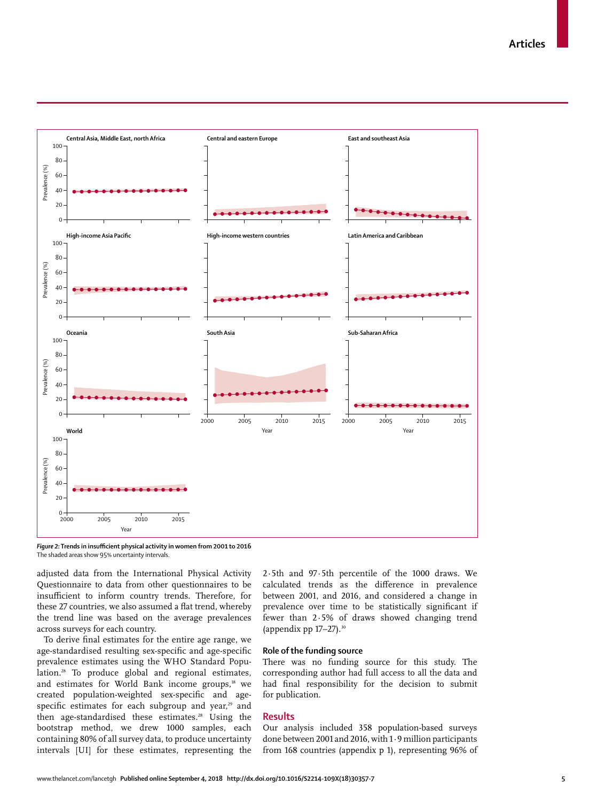**Articles**



*Figure 2:* **Trends in insufficient physical activity in women from 2001 to 2016** The shaded areas show 95% uncertainty intervals.

adjusted data from the International Physical Activity Questionnaire to data from other questionnaires to be insufficient to inform country trends. Therefore, for these 27 countries, we also assumed a flat trend, whereby the trend line was based on the average prevalences across surveys for each country.

To derive final estimates for the entire age range, we age-standardised resulting sex-specific and age-specific prevalence estimates using the WHO Standard Population.<sup>28</sup> To produce global and regional estimates, and estimates for World Bank income groups,<sup>18</sup> we created population-weighted sex-specific and agespecific estimates for each subgroup and year,<sup>29</sup> and then age-standardised these estimates.<sup>28</sup> Using the bootstrap method, we drew 1000 samples, each containing 80% of all survey data, to produce uncertainty intervals [UI] for these estimates, representing the 2·5th and 97·5th percentile of the 1000 draws. We calculated trends as the difference in prevalence between 2001, and 2016, and considered a change in prevalence over time to be statistically significant if fewer than 2·5% of draws showed changing trend (appendix pp  $17-27$ ).<sup>30</sup>

# **Role of the funding source**

There was no funding source for this study. The corresponding author had full access to all the data and had final responsibility for the decision to submit for publication.

# **Results**

Our analysis included 358 population-based surveys done between 2001 and 2016, with 1·9 million participants from 168 countries (appendix p 1), representing 96% of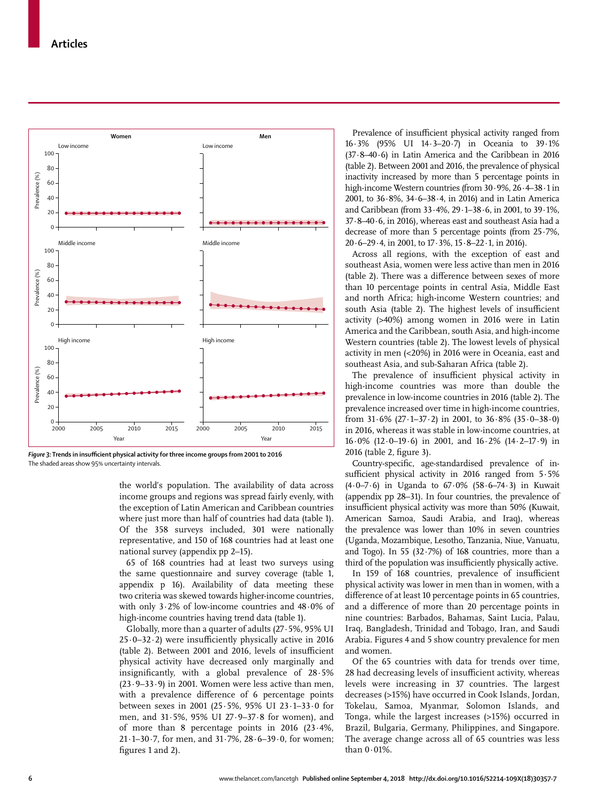

*Figure 3:* **Trends in insufficient physical activity for three income groups from 2001 to 2016** The shaded areas show 95% uncertainty intervals.

the world's population. The availability of data across income groups and regions was spread fairly evenly, with the exception of Latin American and Caribbean countries where just more than half of countries had data (table 1). Of the 358 surveys included, 301 were nationally representative, and 150 of 168 countries had at least one national survey (appendix pp 2–15).

65 of 168 countries had at least two surveys using the same questionnaire and survey coverage (table 1, appendix p 16). Availability of data meeting these two criteria was skewed towards higher-income countries, with only 3·2% of low-income countries and 48·0% of high-income countries having trend data (table 1).

Globally, more than a quarter of adults (27·5%, 95% UI  $25.0 - 32.2$ ) were insufficiently physically active in 2016 (table 2). Between 2001 and 2016, levels of insufficient physical activity have decreased only marginally and insignificantly, with a global prevalence of 28·5%  $(23.9-33.9)$  in 2001. Women were less active than men, with a prevalence difference of 6 percentage points between sexes in 2001 (25·5%, 95% UI 23·1–33·0 for men, and 31·5%, 95% UI 27·9–37·8 for women), and of more than 8 percentage points in 2016 (23·4%, 21 $\cdot$ 1–30 $\cdot$ 7, for men, and 31 $\cdot$ 7%, 28 $\cdot$ 6–39 $\cdot$ 0, for women; figures 1 and 2).

Prevalence of insufficient physical activity ranged from 16·3% (95% UI 14·3–20·7) in Oceania to 39·1% (37·8–40·6) in Latin America and the Caribbean in 2016 (table 2). Between 2001 and 2016, the prevalence of physical inactivity increased by more than 5 percentage points in high-income Western countries (from 30·9%, 26·4–38·1 in 2001, to 36·8%, 34·6–38·4, in 2016) and in Latin America and Caribbean (from 33·4%, 29·1–38·6, in 2001, to 39·1%, 37·8–40·6, in 2016), whereas east and southeast Asia had a decrease of more than 5 percentage points (from 25·7%, 20·6–29·4, in 2001, to 17·3%, 15·8–22·1, in 2016).

Across all regions, with the exception of east and southeast Asia, women were less active than men in 2016 (table 2). There was a difference between sexes of more than 10 percentage points in central Asia, Middle East and north Africa; high-income Western countries; and south Asia (table 2). The highest levels of insufficient activity (>40%) among women in 2016 were in Latin America and the Caribbean, south Asia, and high-income Western countries (table 2). The lowest levels of physical activity in men (<20%) in 2016 were in Oceania, east and southeast Asia, and sub-Saharan Africa (table 2).

The prevalence of insufficient physical activity in high-income countries was more than double the prevalence in low-income countries in 2016 (table 2). The prevalence increased over time in high-income countries, from  $31.6\%$  (27 $\cdot$ 1–37 $\cdot$ 2) in 2001, to  $36.8\%$  (35 $\cdot$ 0–38 $\cdot$ 0) in 2016, whereas it was stable in low-income countries, at 16·0% (12·0–19·6) in 2001, and 16·2% (14·2–17·9) in 2016 (table 2, figure 3).

Country-specific, age-standardised prevalence of insufficient physical activity in 2016 ranged from 5·5% (4·0–7·6) in Uganda to 67·0% (58·6–74·3) in Kuwait (appendix pp 28–31). In four countries, the prevalence of insufficient physical activity was more than 50% (Kuwait, American Samoa, Saudi Arabia, and Iraq), whereas the prevalence was lower than 10% in seven countries (Uganda, Mozambique, Lesotho, Tanzania, Niue, Vanuatu, and Togo). In 55  $(32.7%)$  of 168 countries, more than a third of the population was insufficiently physically active.

In 159 of 168 countries, prevalence of insufficient physical activity was lower in men than in women, with a difference of at least 10 percentage points in 65 countries, and a difference of more than 20 percentage points in nine countries: Barbados, Bahamas, Saint Lucia, Palau, Iraq, Bangladesh, Trinidad and Tobago, Iran, and Saudi Arabia. Figures 4 and 5 show country prevalence for men and women.

Of the 65 countries with data for trends over time, 28 had decreasing levels of insufficient activity, whereas levels were increasing in 37 countries. The largest decreases (>15%) have occurred in Cook Islands, Jordan, Tokelau, Samoa, Myanmar, Solomon Islands, and Tonga, while the largest increases (>15%) occurred in Brazil, Bulgaria, Germany, Philippines, and Singapore. The average change across all of 65 countries was less than 0·01%.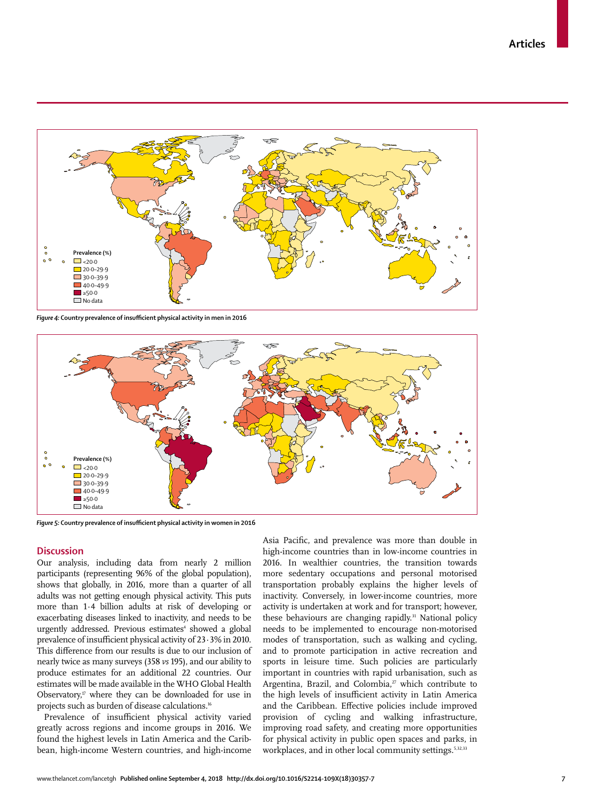

*Figure 4:* **Country prevalence of insufficient physical activity in men in 2016**



*Figure 5:* **Country prevalence of insufficient physical activity in women in 2016**

# **Discussion**

Our analysis, including data from nearly 2 million participants (representing 96% of the global population), shows that globally, in 2016, more than a quarter of all adults was not getting enough physical activity. This puts more than 1·4 billion adults at risk of developing or exacerbating diseases linked to inactivity, and needs to be urgently addressed. Previous estimates<sup>4</sup> showed a global prevalence of insufficient physical activity of 23·3% in 2010. This difference from our results is due to our inclusion of nearly twice as many surveys (358 *vs* 195), and our ability to produce estimates for an additional 22 countries. Our estimates will be made available in the WHO Global Health Observatory, $\mathbf{v}$  where they can be downloaded for use in projects such as burden of disease calculations.<sup>16</sup>

Prevalence of insufficient physical activity varied greatly across regions and income groups in 2016. We found the highest levels in Latin America and the Caribbean, high-income Western countries, and high-income Asia Pacific, and prevalence was more than double in high-income countries than in low-income countries in 2016. In wealthier countries, the transition towards more sedentary occupations and personal motorised transportation probably explains the higher levels of inactivity. Conversely, in lower-income countries, more activity is undertaken at work and for transport; however, these behaviours are changing rapidly.<sup>31</sup> National policy needs to be implemented to encourage non-motorised modes of transportation, such as walking and cycling, and to promote participation in active recreation and sports in leisure time. Such policies are particularly important in countries with rapid urbanisation, such as Argentina, Brazil, and Colombia,<sup>27</sup> which contribute to the high levels of insufficient activity in Latin America and the Caribbean. Effective policies include improved provision of cycling and walking infrastructure, improving road safety, and creating more opportunities for physical activity in public open spaces and parks, in workplaces, and in other local community settings.<sup>5,32,33</sup>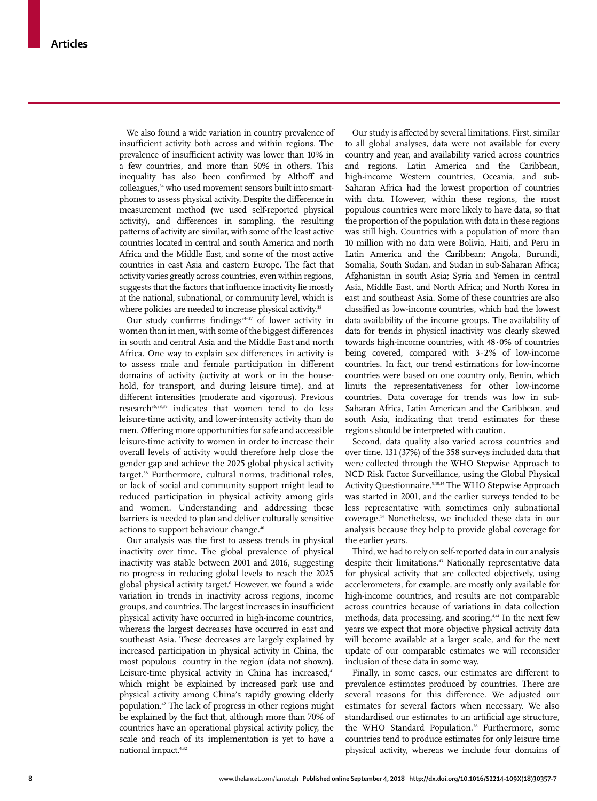We also found a wide variation in country prevalence of insufficient activity both across and within regions. The prevalence of insufficient activity was lower than 10% in a few countries, and more than 50% in others. This inequality has also been confirmed by Althoff and colleagues,<sup>34</sup> who used movement sensors built into smartphones to assess physical activity. Despite the difference in measurement method (we used self-reported physical activity), and differences in sampling, the resulting patterns of activity are similar, with some of the least active countries located in central and south America and north Africa and the Middle East, and some of the most active countries in east Asia and eastern Europe. The fact that activity varies greatly across countries, even within regions, suggests that the factors that influence inactivity lie mostly at the national, subnational, or community level, which is where policies are needed to increase physical activity.<sup>32</sup>

Our study confirms findings<sup>34-37</sup> of lower activity in women than in men, with some of the biggest differences in south and central Asia and the Middle East and north Africa. One way to explain sex differences in activity is to assess male and female participation in different domains of activity (activity at work or in the household, for transport, and during leisure time), and at different intensities (moderate and vigorous). Previous research<sup>36,38,39</sup> indicates that women tend to do less leisure-time activity, and lower-intensity activity than do men. Offering more opportunities for safe and accessible leisure-time activity to women in order to increase their overall levels of activity would therefore help close the gender gap and achieve the 2025 global physical activity target.<sup>38</sup> Furthermore, cultural norms, traditional roles, or lack of social and community support might lead to reduced participation in physical activity among girls and women. Understanding and addressing these barriers is needed to plan and deliver culturally sensitive actions to support behaviour change.<sup>40</sup>

Our analysis was the first to assess trends in physical inactivity over time. The global prevalence of physical inactivity was stable between 2001 and 2016, suggesting no progress in reducing global levels to reach the 2025 global physical activity target.6 However, we found a wide variation in trends in inactivity across regions, income groups, and countries. The largest increases in insufficient physical activity have occurred in high-income countries, whereas the largest decreases have occurred in east and southeast Asia. These decreases are largely explained by increased participation in physical activity in China, the most populous country in the region (data not shown). Leisure-time physical activity in China has increased,<sup>41</sup> which might be explained by increased park use and physical activity among China's rapidly growing elderly population.42 The lack of progress in other regions might be explained by the fact that, although more than 70% of countries have an operational physical activity policy, the scale and reach of its implementation is yet to have a national impact.4,32

Our study is affected by several limitations. First, similar to all global analyses, data were not available for every country and year, and availability varied across countries and regions. Latin America and the Caribbean, high-income Western countries, Oceania, and sub-Saharan Africa had the lowest proportion of countries with data. However, within these regions, the most populous countries were more likely to have data, so that the proportion of the population with data in these regions was still high. Countries with a population of more than 10 million with no data were Bolivia, Haiti, and Peru in Latin America and the Caribbean; Angola, Burundi, Somalia, South Sudan, and Sudan in sub-Saharan Africa; Afghanistan in south Asia; Syria and Yemen in central Asia, Middle East, and North Africa; and North Korea in east and southeast Asia. Some of these countries are also classified as low-income countries, which had the lowest data availability of the income groups. The availability of data for trends in physical inactivity was clearly skewed towards high-income countries, with 48·0% of countries being covered, compared with 3·2% of low-income countries. In fact, our trend estimations for low-income countries were based on one country only, Benin, which limits the representativeness for other low-income countries. Data coverage for trends was low in sub-Saharan Africa, Latin American and the Caribbean, and south Asia, indicating that trend estimates for these regions should be interpreted with caution.

Second, data quality also varied across countries and over time. 131 (37%) of the 358 surveys included data that were collected through the WHO Stepwise Approach to NCD Risk Factor Surveillance, using the Global Physical Activity Questionnaire.<sup>9,10,14</sup> The WHO Stepwise Approach was started in 2001, and the earlier surveys tended to be less representative with sometimes only subnational coverage.14 Nonetheless, we included these data in our analysis because they help to provide global coverage for the earlier years.

Third, we had to rely on self-reported data in our analysis despite their limitations.<sup>43</sup> Nationally representative data for physical activity that are collected objectively, using accelerometers, for example, are mostly only available for high-income countries, and results are not comparable across countries because of variations in data collection methods, data processing, and scoring.4,44 In the next few years we expect that more objective physical activity data will become available at a larger scale, and for the next update of our comparable estimates we will reconsider inclusion of these data in some way.

Finally, in some cases, our estimates are different to prevalence estimates produced by countries. There are several reasons for this difference. We adjusted our estimates for several factors when necessary. We also standardised our estimates to an artificial age structure, the WHO Standard Population.<sup>28</sup> Furthermore, some countries tend to produce estimates for only leisure time physical activity, whereas we include four domains of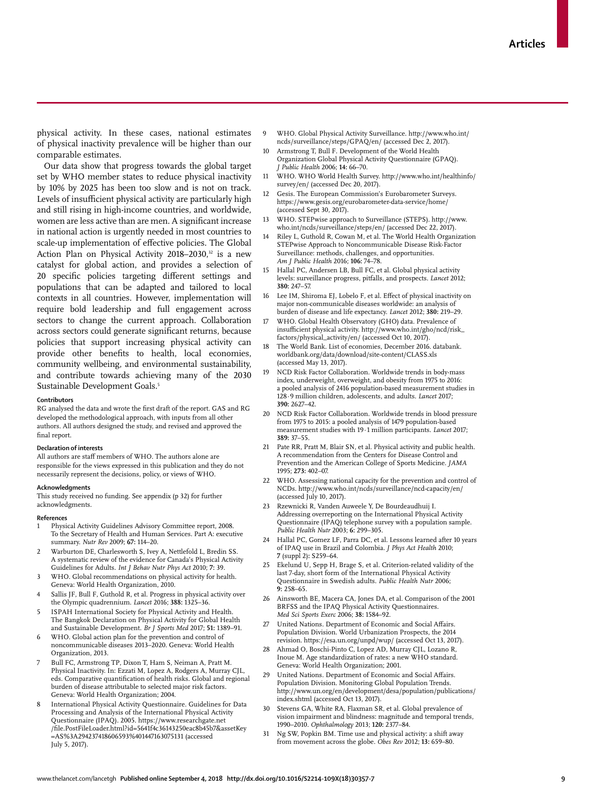physical activity. In these cases, national estimates of physical inactivity prevalence will be higher than our comparable estimates.

Our data show that progress towards the global target set by WHO member states to reduce physical inactivity by 10% by 2025 has been too slow and is not on track. Levels of insufficient physical activity are particularly high and still rising in high-income countries, and worldwide, women are less active than are men. A significant increase in national action is urgently needed in most countries to scale-up implementation of effective policies. The Global Action Plan on Physical Activity 2018–2030,<sup>32</sup> is a new catalyst for global action, and provides a selection of 20 specific policies targeting different settings and populations that can be adapted and tailored to local contexts in all countries. However, implementation will require bold leadership and full engagement across sectors to change the current approach. Collaboration across sectors could generate significant returns, because policies that support increasing physical activity can provide other benefits to health, local economies, community wellbeing, and environmental sustainability, and contribute towards achieving many of the 2030 Sustainable Development Goals.<sup>5</sup>

#### **Contributors**

RG analysed the data and wrote the first draft of the report. GAS and RG developed the methodological approach, with inputs from all other authors. All authors designed the study, and revised and approved the final report.

#### **Declaration of interests**

All authors are staff members of WHO. The authors alone are responsible for the views expressed in this publication and they do not necessarily represent the decisions, policy, or views of WHO.

#### **Acknowledgments**

This study received no funding. See appendix (p 32) for further acknowledgments.

#### **References**

- 1 Physical Activity Guidelines Advisory Committee report, 2008. To the Secretary of Health and Human Services. Part A: executive summary. *Nutr Rev* 2009; **67:** 114–20.
- 2 Warburton DE, Charlesworth S, Ivey A, Nettlefold L, Bredin SS. A systematic review of the evidence for Canada's Physical Activity Guidelines for Adults. *Int J Behav Nutr Phys Act* 2010; **7:** 39.
- WHO. Global recommendations on physical activity for health. Geneva: World Health Organization, 2010.
- Sallis JF, Bull F, Guthold R, et al. Progress in physical activity over the Olympic quadrennium. *Lancet* 2016; **388:** 1325–36.
- 5 ISPAH International Society for Physical Activity and Health. The Bangkok Declaration on Physical Activity for Global Health and Sustainable Development. *Br J Sports Med* 2017; **51:** 1389–91.
- WHO. Global action plan for the prevention and control of noncommunicable diseases 2013–2020. Geneva: World Health Organization, 2013.
- 7 Bull FC, Armstrong TP, Dixon T, Ham S, Neiman A, Pratt M. Physical Inactivity. In: Ezzati M, Lopez A, Rodgers A, Murray CJL, eds. Comparative quantification of health risks. Global and regional burden of disease attributable to selected major risk factors. Geneva: World Health Organization; 2004.
- 8 International Physical Activity Questionnaire. Guidelines for Data Processing and Analysis of the International Physical Activity Questionnaire (IPAQ). 2005. https://www.researchgate.net /file.PostFileLoader.html?id=5641f4c36143250eac8b45b7&assetKey =AS%3A294237418606593%401447163075131 (accessed July 5, 2017).
- 9 WHO. Global Physical Activity Surveillance. http://www.who.int/ ncds/surveillance/steps/GPAQ/en/ (accessed Dec 2, 2017).
- 10 Armstrong T, Bull F. Development of the World Health Organization Global Physical Activity Questionnaire (GPAQ). *J Public Health* 2006; **14:** 66–70.
- 11 WHO. WHO World Health Survey. http://www.who.int/healthinfo/ survey/en/ (accessed Dec 20, 2017).
- 12 Gesis. The European Commission's Eurobarometer Surveys. https://www.gesis.org/eurobarometer-data-service/home/ (accessed Sept 30, 2017).
- 13 WHO. STEPwise approach to Surveillance (STEPS). http://www. who.int/ncds/surveillance/steps/en/ (accessed Dec 22, 2017).
- 14 Riley L, Guthold R, Cowan M, et al. The World Health Organization STEPwise Approach to Noncommunicable Disease Risk-Factor Surveillance: methods, challenges, and opportunities. *Am J Public Health* 2016; **106:** 74–78.
- 15 Hallal PC, Andersen LB, Bull FC, et al. Global physical activity levels: surveillance progress, pitfalls, and prospects. *Lancet* 2012; **380:** 247–57.
- Lee IM, Shiroma EJ, Lobelo F, et al. Effect of physical inactivity on major non-communicable diseases worldwide: an analysis of burden of disease and life expectancy. *Lancet* 2012; **380:** 219–29.
- 17 WHO. Global Health Observatory (GHO) data. Prevalence of insufficient physical activity. http://www.who.int/gho/ncd/risk\_ factors/physical\_activity/en/ (accessed Oct 10, 2017).
- The World Bank. List of economies, December 2016. databank. worldbank.org/data/download/site-content/CLASS.xls (accessed May 13, 2017).
- 19 NCD Risk Factor Collaboration. Worldwide trends in body-mass index, underweight, overweight, and obesity from 1975 to 2016: a pooled analysis of 2416 population-based measurement studies in 128·9 million children, adolescents, and adults. *Lancet* 2017; **390:** 2627–42.
- NCD Risk Factor Collaboration. Worldwide trends in blood pressure from 1975 to 2015: a pooled analysis of 1479 population-based measurement studies with 19·1 million participants. *Lancet* 2017; **389:** 37–55.
- 21 Pate RR, Pratt M, Blair SN, et al. Physical activity and public health. A recommendation from the Centers for Disease Control and Prevention and the American College of Sports Medicine. *JAMA* 1995; **273:** 402–07.
- 22 WHO. Assessing national capacity for the prevention and control of NCDs. http://www.who.int/ncds/surveillance/ncd-capacity/en/ (accessed July 10, 2017).
- 23 Rzewnicki R, Vanden Auweele Y, De Bourdeaudhuij I. Addressing overreporting on the International Physical Activity Questionnaire (IPAQ) telephone survey with a population sample. *Public Health Nutr* 2003; **6:** 299–305.
- 24 Hallal PC, Gomez LF, Parra DC, et al. Lessons learned after 10 years of IPAQ use in Brazil and Colombia. *J Phys Act Health* 2010; **7** (suppl 2)**:** S259–64.
- 25 Ekelund U, Sepp H, Brage S, et al. Criterion-related validity of the last 7-day, short form of the International Physical Activity Questionnaire in Swedish adults. *Public Health Nutr* 2006; **9:** 258–65.
- 26 Ainsworth BE, Macera CA, Jones DA, et al. Comparison of the 2001 BRFSS and the IPAQ Physical Activity Questionnaires. *Med Sci Sports Exerc* 2006; **38:** 1584–92.
- United Nations. Department of Economic and Social Affairs. Population Division. World Urbanization Prospects, the 2014 revision. https://esa.un.org/unpd/wup/ (accessed Oct 13, 2017).
- 28 Ahmad O, Boschi-Pinto C, Lopez AD, Murray CJL, Lozano R, Inoue M. Age standardization of rates: a new WHO standard. Geneva: World Health Organization; 2001.
- 29 United Nations. Department of Economic and Social Affairs. Population Division. Monitoring Global Population Trends. http://www.un.org/en/development/desa/population/publications/ index.shtml (accessed Oct 13, 2017).
- 30 Stevens GA, White RA, Flaxman SR, et al. Global prevalence of vision impairment and blindness: magnitude and temporal trends, 1990–2010. *Ophthalmology* 2013; **120:** 2377–84.
- Ng SW, Popkin BM. Time use and physical activity: a shift away from movement across the globe. *Obes Rev* 2012; **13:** 659–80.